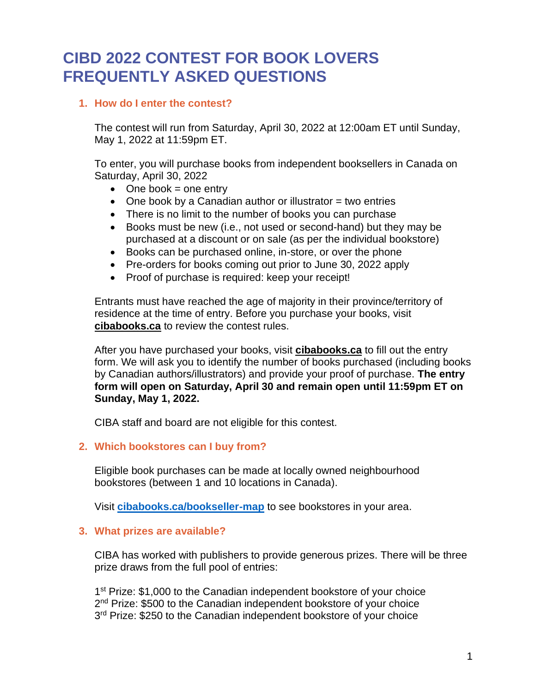# **CIBD 2022 CONTEST FOR BOOK LOVERS FREQUENTLY ASKED QUESTIONS**

# **1. How do I enter the contest?**

The contest will run from Saturday, April 30, 2022 at 12:00am ET until Sunday, May 1, 2022 at 11:59pm ET.

To enter, you will purchase books from independent booksellers in Canada on Saturday, April 30, 2022

- $\bullet$  One book = one entry
- One book by a Canadian author or illustrator  $=$  two entries
- There is no limit to the number of books you can purchase
- Books must be new (i.e., not used or second-hand) but they may be purchased at a discount or on sale (as per the individual bookstore)
- Books can be purchased online, in-store, or over the phone
- Pre-orders for books coming out prior to June 30, 2022 apply
- Proof of purchase is required: keep your receipt!

Entrants must have reached the age of majority in their province/territory of residence at the time of entry. Before you purchase your books, visit **[cibabooks.ca](https://cibabooks.ca/)** to review the contest rules.

After you have purchased your books, visit **cibabooks.ca** to fill out the entry form. We will ask you to identify the number of books purchased (including books by Canadian authors/illustrators) and provide your proof of purchase. **The entry form will open on Saturday, April 30 and remain open until 11:59pm ET on Sunday, May 1, 2022.**

CIBA staff and board are not eligible for this contest.

# **2. Which bookstores can I buy from?**

Eligible book purchases can be made at locally owned neighbourhood bookstores (between 1 and 10 locations in Canada).

Visit **[cibabooks.ca/bookseller-map](https://cibabooks.ca/bookseller-map)** to see bookstores in your area.

# **3. What prizes are available?**

CIBA has worked with publishers to provide generous prizes. There will be three prize draws from the full pool of entries:

1<sup>st</sup> Prize: \$1,000 to the Canadian independent bookstore of your choice 2<sup>nd</sup> Prize: \$500 to the Canadian independent bookstore of your choice 3<sup>rd</sup> Prize: \$250 to the Canadian independent bookstore of your choice